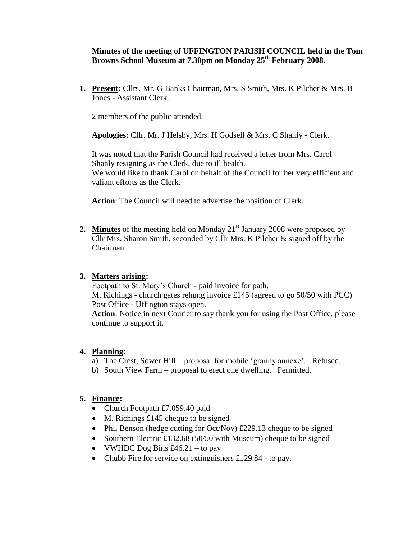### **Minutes of the meeting of UFFINGTON PARISH COUNCIL held in the Tom Browns School Museum at 7.30pm on Monday 25 th February 2008.**

**1. Present:** Cllrs. Mr. G Banks Chairman, Mrs. S Smith, Mrs. K Pilcher & Mrs. B Jones - Assistant Clerk.

2 members of the public attended.

**Apologies:** Cllr. Mr. J Helsby, Mrs. H Godsell & Mrs. C Shanly - Clerk.

It was noted that the Parish Council had received a letter from Mrs. Carol Shanly resigning as the Clerk, due to ill health. We would like to thank Carol on behalf of the Council for her very efficient and valiant efforts as the Clerk.

**Action**: The Council will need to advertise the position of Clerk.

2. Minutes of the meeting held on Monday 21<sup>st</sup> January 2008 were proposed by Cllr Mrs. Sharon Smith, seconded by Cllr Mrs. K Pilcher & signed off by the Chairman.

### **3. Matters arising:**

Footpath to St. Mary's Church - paid invoice for path. M. Richings - church gates rehung invoice £145 (agreed to go 50/50 with PCC) Post Office - Uffington stays open.

**Action**: Notice in next Courier to say thank you for using the Post Office, please continue to support it.

#### **4. Planning:**

- a) The Crest, Sower Hill proposal for mobile 'granny annexe'. Refused.
- b) South View Farm proposal to erect one dwelling. Permitted.

### **5. Finance:**

- Church Footpath £7,059.40 paid
- $\bullet$  M. Richings £145 cheque to be signed
- Phil Benson (hedge cutting for Oct/Nov)  $\text{\pounds}229.13$  cheque to be signed
- Southern Electric £132.68 (50/50 with Museum) cheque to be signed
- VWHDC Dog Bins  $\text{\pounds}46.21 \text{to pay}$
- Chubb Fire for service on extinguishers £129.84 to pay.